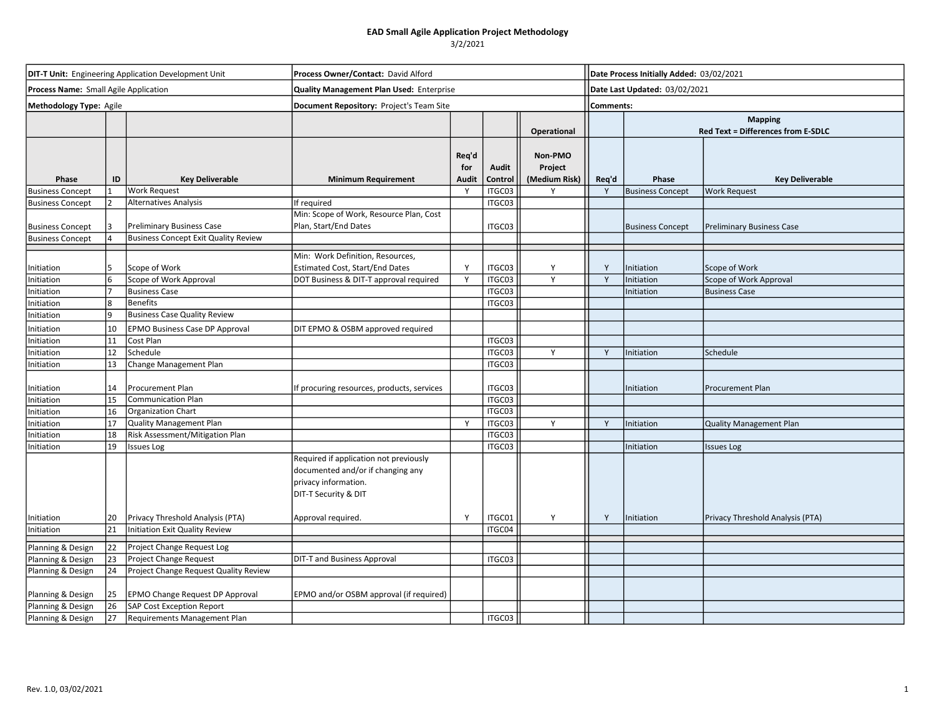| <b>DIT-T Unit:</b> Engineering Application Development Unit |    |                                             | Process Owner/Contact: David Alford                                                                                         |                       |                         |                                     |              | Date Process Initially Added: 03/02/2021                    |                                  |  |  |
|-------------------------------------------------------------|----|---------------------------------------------|-----------------------------------------------------------------------------------------------------------------------------|-----------------------|-------------------------|-------------------------------------|--------------|-------------------------------------------------------------|----------------------------------|--|--|
| Process Name: Small Agile Application                       |    |                                             | <b>Quality Management Plan Used: Enterprise</b>                                                                             |                       |                         |                                     |              | Date Last Updated: 03/02/2021                               |                                  |  |  |
| Methodology Type: Agile                                     |    |                                             | Document Repository: Project's Team Site                                                                                    |                       |                         |                                     | Comments:    |                                                             |                                  |  |  |
|                                                             |    |                                             |                                                                                                                             |                       |                         | <b>Operational</b>                  |              | <b>Mapping</b><br><b>Red Text = Differences from E-SDLC</b> |                                  |  |  |
| Phase                                                       | ID | <b>Key Deliverable</b>                      | <b>Minimum Requirement</b>                                                                                                  | Req'd<br>for<br>Audit | <b>Audit</b><br>Control | Non-PMO<br>Project<br>(Medium Risk) | Req'd        | Phase                                                       | <b>Key Deliverable</b>           |  |  |
| <b>Business Concept</b>                                     |    | <b>Work Request</b>                         |                                                                                                                             | Y                     | ITGC03                  |                                     | Y            | <b>Business Concept</b>                                     | <b>Work Request</b>              |  |  |
| <b>Business Concept</b>                                     |    | <b>Alternatives Analysis</b>                | If required                                                                                                                 |                       | ITGC03                  |                                     |              |                                                             |                                  |  |  |
| <b>Business Concept</b>                                     |    | Preliminary Business Case                   | Min: Scope of Work, Resource Plan, Cost<br>Plan, Start/End Dates                                                            |                       | ITGC03                  |                                     |              | <b>Business Concept</b>                                     | <b>Preliminary Business Case</b> |  |  |
| <b>Business Concept</b>                                     |    | <b>Business Concept Exit Quality Review</b> |                                                                                                                             |                       |                         |                                     |              |                                                             |                                  |  |  |
|                                                             |    |                                             | Min: Work Definition, Resources,                                                                                            |                       |                         |                                     |              |                                                             |                                  |  |  |
| Initiation                                                  | 5. | Scope of Work                               | Estimated Cost, Start/End Dates                                                                                             | Y                     | ITGC03                  | Y                                   | Y            | Initiation                                                  | Scope of Work                    |  |  |
| Initiation                                                  |    | Scope of Work Approval                      | DOT Business & DIT-T approval required                                                                                      | Y                     | ITGC03                  | $\mathsf{v}$                        | $\mathsf{v}$ | Initiation                                                  | Scope of Work Approval           |  |  |
| Initiation                                                  |    | <b>Business Case</b>                        |                                                                                                                             |                       | ITGC03                  |                                     |              | nitiation                                                   | <b>Business Case</b>             |  |  |
| Initiation                                                  |    | <b>Benefits</b>                             |                                                                                                                             |                       | ITGC03                  |                                     |              |                                                             |                                  |  |  |
| Initiation                                                  |    | <b>Business Case Quality Review</b>         |                                                                                                                             |                       |                         |                                     |              |                                                             |                                  |  |  |
| Initiation                                                  | 10 | EPMO Business Case DP Approval              | DIT EPMO & OSBM approved required                                                                                           |                       |                         |                                     |              |                                                             |                                  |  |  |
| Initiation                                                  | 11 | Cost Plan                                   |                                                                                                                             |                       | ITGC03                  |                                     |              |                                                             |                                  |  |  |
| Initiation                                                  | 12 | Schedule                                    |                                                                                                                             |                       | ITGC03                  | Y                                   | Y            | Initiation                                                  | Schedule                         |  |  |
| Initiation                                                  | 13 | Change Management Plan                      |                                                                                                                             |                       | ITGC03                  |                                     |              |                                                             |                                  |  |  |
| Initiation                                                  | 14 | Procurement Plan                            | If procuring resources, products, services                                                                                  |                       | ITGC03                  |                                     |              | Initiation                                                  | <b>Procurement Plan</b>          |  |  |
| Initiation                                                  | 15 | <b>Communication Plan</b>                   |                                                                                                                             |                       | ITGC03                  |                                     |              |                                                             |                                  |  |  |
| Initiation                                                  | 16 | Organization Chart                          |                                                                                                                             |                       | ITGC03                  |                                     |              |                                                             |                                  |  |  |
| Initiation                                                  | 17 | <b>Quality Management Plan</b>              |                                                                                                                             | Y                     | ITGC03                  | Y                                   | Y            | Initiation                                                  | <b>Quality Management Plan</b>   |  |  |
| Initiation                                                  | 18 | Risk Assessment/Mitigation Plan             |                                                                                                                             |                       | ITGC03                  |                                     |              |                                                             |                                  |  |  |
| Initiation                                                  | 19 | <b>Issues Log</b>                           |                                                                                                                             |                       | ITGC03                  |                                     |              | Initiation                                                  | <b>Issues Log</b>                |  |  |
|                                                             |    |                                             | Required if application not previously<br>documented and/or if changing any<br>privacy information.<br>DIT-T Security & DIT |                       |                         |                                     |              |                                                             |                                  |  |  |
| Initiation                                                  | 20 | Privacy Threshold Analysis (PTA)            | Approval required.                                                                                                          | Y                     | ITGC01                  | Y                                   | Y            | Initiation                                                  | Privacy Threshold Analysis (PTA) |  |  |
| Initiation                                                  | 21 | <b>Initiation Exit Quality Review</b>       |                                                                                                                             |                       | ITGC04                  |                                     |              |                                                             |                                  |  |  |
| Planning & Design                                           | 22 | Project Change Request Log                  |                                                                                                                             |                       |                         |                                     |              |                                                             |                                  |  |  |
| Planning & Design                                           | 23 | Project Change Request                      | DIT-T and Business Approval                                                                                                 |                       | ITGC03                  |                                     |              |                                                             |                                  |  |  |
| Planning & Design                                           | 24 | Project Change Request Quality Review       |                                                                                                                             |                       |                         |                                     |              |                                                             |                                  |  |  |
| Planning & Design                                           | 25 | EPMO Change Request DP Approval             | EPMO and/or OSBM approval (if required)                                                                                     |                       |                         |                                     |              |                                                             |                                  |  |  |
| Planning & Design                                           | 26 | SAP Cost Exception Report                   |                                                                                                                             |                       |                         |                                     |              |                                                             |                                  |  |  |
| Planning & Design                                           | 27 | Requirements Management Plan                |                                                                                                                             |                       | ITGC03                  |                                     |              |                                                             |                                  |  |  |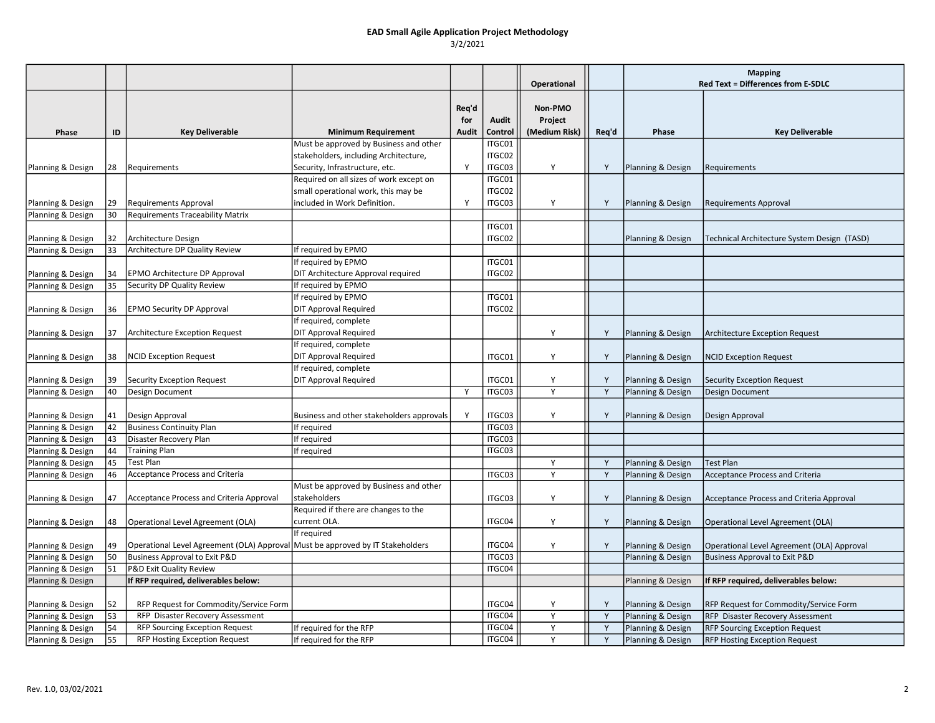|                                        |          |                                                                                |                                                          |              |         | <b>Operational</b> |       | <b>Mapping</b><br>Red Text = Differences from E-SDLC |                                             |
|----------------------------------------|----------|--------------------------------------------------------------------------------|----------------------------------------------------------|--------------|---------|--------------------|-------|------------------------------------------------------|---------------------------------------------|
|                                        |          |                                                                                |                                                          |              |         |                    |       |                                                      |                                             |
|                                        |          |                                                                                |                                                          | Req'd        |         | Non-PMO            |       |                                                      |                                             |
|                                        |          |                                                                                |                                                          | for          | Audit   | Project            |       |                                                      |                                             |
| Phase                                  | ID       | <b>Key Deliverable</b>                                                         | <b>Minimum Requirement</b>                               | <b>Audit</b> | Control | (Medium Risk)      | Req'd | Phase                                                | <b>Key Deliverable</b>                      |
|                                        |          |                                                                                | Must be approved by Business and other                   |              | ITGC01  |                    |       |                                                      |                                             |
|                                        |          |                                                                                | stakeholders, including Architecture,                    |              | ITGC02  |                    |       |                                                      |                                             |
| Planning & Design                      | 28       | Requirements                                                                   | Security, Infrastructure, etc.                           | Y            | ITGC03  | Y                  | Y     | Planning & Design                                    | Requirements                                |
|                                        |          |                                                                                | Required on all sizes of work except on                  |              | ITGC01  |                    |       |                                                      |                                             |
|                                        |          |                                                                                | small operational work, this may be                      |              | ITGC02  |                    |       |                                                      |                                             |
| Planning & Design                      | 29       | <b>Requirements Approval</b>                                                   | included in Work Definition.                             | Y            | ITGC03  | Y                  | Y     | Planning & Design                                    | <b>Requirements Approval</b>                |
| Planning & Design                      | 30       | <b>Requirements Traceability Matrix</b>                                        |                                                          |              |         |                    |       |                                                      |                                             |
|                                        |          |                                                                                |                                                          |              | ITGC01  |                    |       |                                                      |                                             |
| Planning & Design                      | 32       | Architecture Design                                                            |                                                          |              | ITGC02  |                    |       | Planning & Design                                    | Technical Architecture System Design (TASD) |
| Planning & Design                      | 33       | Architecture DP Quality Review                                                 | If required by EPMO                                      |              |         |                    |       |                                                      |                                             |
|                                        |          |                                                                                | If required by EPMO                                      |              | ITGC01  |                    |       |                                                      |                                             |
| Planning & Design                      | 34       | EPMO Architecture DP Approval                                                  | DIT Architecture Approval required                       |              | ITGC02  |                    |       |                                                      |                                             |
| Planning & Design                      | 35       | Security DP Quality Review                                                     | If required by EPMO                                      |              |         |                    |       |                                                      |                                             |
|                                        |          |                                                                                | f required by EPMO                                       |              | ITGC01  |                    |       |                                                      |                                             |
| Planning & Design                      | 36       | <b>EPMO Security DP Approval</b>                                               | <b>DIT Approval Required</b>                             |              | ITGC02  |                    |       |                                                      |                                             |
|                                        |          |                                                                                | If required, complete                                    |              |         |                    |       |                                                      |                                             |
| Planning & Design                      | 37       | <b>Architecture Exception Request</b>                                          | <b>DIT Approval Required</b>                             |              |         | Y                  | Y     | Planning & Design                                    | <b>Architecture Exception Request</b>       |
|                                        |          |                                                                                | If required, complete                                    |              |         |                    |       |                                                      |                                             |
| Planning & Design                      | 38       | <b>NCID Exception Request</b>                                                  | DIT Approval Required                                    |              | ITGC01  | Y                  | Y     | Planning & Design                                    | <b>NCID Exception Request</b>               |
|                                        |          |                                                                                | If required, complete                                    |              |         |                    |       |                                                      |                                             |
| Planning & Design                      | 39       | <b>Security Exception Request</b>                                              | DIT Approval Required                                    | Y            | ITGC01  | Y<br>Y             | Y     | Planning & Design                                    | <b>Security Exception Request</b>           |
| Planning & Design                      | 40       | Design Document                                                                |                                                          |              | ITGC03  |                    | Y     | Planning & Design                                    | Design Document                             |
|                                        |          |                                                                                |                                                          | Y            | ITGC03  | Y                  |       |                                                      |                                             |
| Planning & Design<br>Planning & Design | 41<br>42 | Design Approval<br><b>Business Continuity Plan</b>                             | Business and other stakeholders approvals<br>If required |              | ITGC03  |                    | Y     | Planning & Design                                    | Design Approval                             |
| Planning & Design                      | 43       | Disaster Recovery Plan                                                         | If required                                              |              | ITGC03  |                    |       |                                                      |                                             |
| Planning & Design                      | 44       | <b>Training Plan</b>                                                           | If required                                              |              | ITGC03  |                    |       |                                                      |                                             |
| Planning & Design                      | 45       | <b>Test Plan</b>                                                               |                                                          |              |         | Υ                  | Y     | Planning & Design                                    | <b>Test Plan</b>                            |
| Planning & Design                      | 46       | Acceptance Process and Criteria                                                |                                                          |              | ITGC03  | Y                  | Y     | Planning & Design                                    | <b>Acceptance Process and Criteria</b>      |
|                                        |          |                                                                                | Must be approved by Business and other                   |              |         |                    |       |                                                      |                                             |
| Planning & Design                      | 47       | Acceptance Process and Criteria Approval                                       | stakeholders                                             |              | ITGC03  | Y                  | Y     | Planning & Design                                    | Acceptance Process and Criteria Approval    |
|                                        |          |                                                                                | Required if there are changes to the                     |              |         |                    |       |                                                      |                                             |
| Planning & Design                      | 48       | Operational Level Agreement (OLA)                                              | current OLA.                                             |              | ITGC04  | Y                  | Y     | Planning & Design                                    | Operational Level Agreement (OLA)           |
|                                        |          |                                                                                | If required                                              |              |         |                    |       |                                                      |                                             |
| Planning & Design                      | 49       | Operational Level Agreement (OLA) Approval Must be approved by IT Stakeholders |                                                          |              | ITGC04  | Y                  | Y     | Planning & Design                                    | Operational Level Agreement (OLA) Approval  |
| Planning & Design                      | 50       | <b>Business Approval to Exit P&amp;D</b>                                       |                                                          |              | ITGC03  |                    |       | Planning & Design                                    | <b>Business Approval to Exit P&amp;D</b>    |
| Planning & Design                      | 51       | P&D Exit Quality Review                                                        |                                                          |              | ITGC04  |                    |       |                                                      |                                             |
| Planning & Design                      |          | If RFP required, deliverables below:                                           |                                                          |              |         |                    |       | Planning & Design                                    | If RFP required, deliverables below:        |
|                                        |          |                                                                                |                                                          |              |         |                    |       |                                                      |                                             |
| Planning & Design                      | 52       | RFP Request for Commodity/Service Form                                         |                                                          |              | ITGC04  | Y                  | Y     | Planning & Design                                    | RFP Request for Commodity/Service Form      |
| Planning & Design                      | 53       | RFP Disaster Recovery Assessment                                               |                                                          |              | ITGC04  | Y                  | Y     | Planning & Design                                    | RFP Disaster Recovery Assessment            |
| Planning & Design                      | 54       | <b>RFP Sourcing Exception Request</b>                                          | If required for the RFP                                  |              | ITGC04  | Y                  | Y     | Planning & Design                                    | <b>RFP Sourcing Exception Request</b>       |
| Planning & Design                      | 55       | RFP Hosting Exception Request                                                  | If required for the RFP                                  |              | ITGC04  | Υ                  | Y     | Planning & Design                                    | <b>RFP Hosting Exception Request</b>        |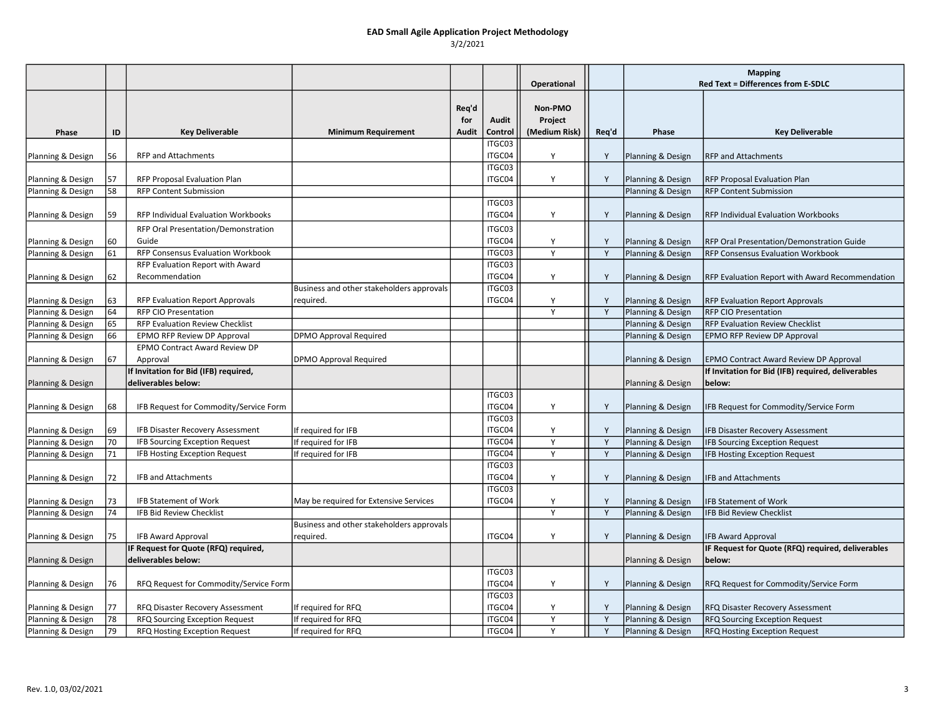|                   |    |                                                              |                                                        |                       |                  | Operational                         |       | <b>Mapping</b><br><b>Red Text = Differences from E-SDLC</b> |                                                              |
|-------------------|----|--------------------------------------------------------------|--------------------------------------------------------|-----------------------|------------------|-------------------------------------|-------|-------------------------------------------------------------|--------------------------------------------------------------|
| Phase             | ID | <b>Key Deliverable</b>                                       | <b>Minimum Requirement</b>                             | Req'd<br>for<br>Audit | Audit<br>Control | Non-PMO<br>Project<br>(Medium Risk) | Req'd | Phase                                                       | <b>Key Deliverable</b>                                       |
| Planning & Design | 56 | <b>RFP and Attachments</b>                                   |                                                        |                       | ITGC03<br>ITGC04 |                                     | Y     | Planning & Design                                           | <b>RFP and Attachments</b>                                   |
| Planning & Design | 57 | RFP Proposal Evaluation Plan                                 |                                                        |                       | ITGC03<br>ITGC04 | Y                                   | Y     | Planning & Design                                           | RFP Proposal Evaluation Plan                                 |
| Planning & Design | 58 | <b>RFP Content Submission</b>                                |                                                        |                       |                  |                                     |       | Planning & Design                                           | <b>RFP Content Submission</b>                                |
| Planning & Design | 59 | RFP Individual Evaluation Workbooks                          |                                                        |                       | ITGC03<br>ITGC04 | Y                                   | Y     | Planning & Design                                           | RFP Individual Evaluation Workbooks                          |
| Planning & Design | 60 | RFP Oral Presentation/Demonstration<br>Guide                 |                                                        |                       | ITGC03<br>ITGC04 | Y                                   | Y     | Planning & Design                                           | RFP Oral Presentation/Demonstration Guide                    |
| Planning & Design | 61 | RFP Consensus Evaluation Workbook                            |                                                        |                       | ITGC03           | Y                                   | Y     | Planning & Design                                           | <b>RFP Consensus Evaluation Workbook</b>                     |
| Planning & Design | 62 | RFP Evaluation Report with Award<br>Recommendation           |                                                        |                       | ITGC03<br>ITGC04 | Y                                   | Y     | Planning & Design                                           | RFP Evaluation Report with Award Recommendation              |
| Planning & Design | 63 | <b>RFP Evaluation Report Approvals</b>                       | Business and other stakeholders approvals<br>reguired. |                       | ITGC03<br>ITGC04 | Y                                   | Y     | Planning & Design                                           | <b>RFP Evaluation Report Approvals</b>                       |
| Planning & Design | 64 | <b>RFP CIO Presentation</b>                                  |                                                        |                       |                  | Y                                   | Y     | Planning & Design                                           | <b>RFP CIO Presentation</b>                                  |
| Planning & Design | 65 | RFP Evaluation Review Checklist                              |                                                        |                       |                  |                                     |       | Planning & Design                                           | <b>RFP Evaluation Review Checklist</b>                       |
| Planning & Design | 66 | EPMO RFP Review DP Approval                                  | <b>DPMO Approval Required</b>                          |                       |                  |                                     |       | Planning & Design                                           | <b>EPMO RFP Review DP Approval</b>                           |
|                   |    | EPMO Contract Award Review DP                                |                                                        |                       |                  |                                     |       |                                                             |                                                              |
| Planning & Design | 67 | Approval                                                     | DPMO Approval Required                                 |                       |                  |                                     |       | Planning & Design                                           | EPMO Contract Award Review DP Approval                       |
| Planning & Design |    | If Invitation for Bid (IFB) required,<br>deliverables below: |                                                        |                       |                  |                                     |       | Planning & Design                                           | If Invitation for Bid (IFB) required, deliverables<br>below: |
| Planning & Design | 68 | IFB Request for Commodity/Service Form                       |                                                        |                       | ITGC03<br>ITGC04 | Y                                   | Y     | Planning & Design                                           | IFB Request for Commodity/Service Form                       |
| Planning & Design | 69 | IFB Disaster Recovery Assessment                             | If required for IFB                                    |                       | ITGC03<br>ITGC04 | Y                                   | Y     | Planning & Design                                           | <b>IFB Disaster Recovery Assessment</b>                      |
| Planning & Design | 70 | <b>IFB Sourcing Exception Request</b>                        | If required for IFB                                    |                       | ITGC04           | Y                                   | Y     | Planning & Design                                           | <b>IFB Sourcing Exception Request</b>                        |
| Planning & Design | 71 | IFB Hosting Exception Request                                | If required for IFB                                    |                       | ITGC04           | Y                                   | Y     | Planning & Design                                           | <b>IFB Hosting Exception Request</b>                         |
|                   |    |                                                              |                                                        |                       | ITGC03           |                                     |       |                                                             |                                                              |
| Planning & Design | 72 | <b>IFB and Attachments</b>                                   |                                                        |                       | ITGC04           | Y                                   | Y     | Planning & Design                                           | <b>IFB and Attachments</b>                                   |
|                   |    |                                                              |                                                        |                       | ITGC03           |                                     |       |                                                             |                                                              |
| Planning & Design | 73 | <b>IFB Statement of Work</b>                                 | May be required for Extensive Services                 |                       | ITGC04           | Y                                   | Y     | Planning & Design                                           | <b>IFB Statement of Work</b>                                 |
| Planning & Design | 74 | <b>IFB Bid Review Checklist</b>                              |                                                        |                       |                  | $\mathsf{v}$                        | Y     | Planning & Design                                           | <b>IFB Bid Review Checklist</b>                              |
| Planning & Design | 75 | <b>IFB Award Approval</b>                                    | Business and other stakeholders approvals<br>required. |                       | ITGC04           | Y                                   | Y     | Planning & Design                                           | <b>IFB Award Approval</b>                                    |
|                   |    | IF Request for Quote (RFQ) required,                         |                                                        |                       |                  |                                     |       |                                                             | IF Request for Quote (RFQ) required, deliverables            |
| Planning & Design |    | deliverables below:                                          |                                                        |                       |                  |                                     |       | Planning & Design                                           | below:                                                       |
| Planning & Design | 76 | RFQ Request for Commodity/Service Form                       |                                                        |                       | ITGC03<br>ITGC04 | Y                                   | Y     | Planning & Design                                           | RFQ Request for Commodity/Service Form                       |
|                   |    |                                                              |                                                        |                       | ITGC03           |                                     |       |                                                             |                                                              |
| Planning & Design | 77 | RFQ Disaster Recovery Assessment                             | If required for RFQ                                    |                       | ITGC04           | Y                                   | Y     | Planning & Design                                           | RFQ Disaster Recovery Assessment                             |
| Planning & Design | 78 | RFQ Sourcing Exception Request                               | If required for RFQ                                    |                       | ITGC04           | Y                                   | Y     | Planning & Design                                           | RFQ Sourcing Exception Request                               |
| Planning & Design | 79 | RFQ Hosting Exception Request                                | If required for RFQ                                    |                       | ITGC04           | Y                                   | Y     | Planning & Design                                           | RFQ Hosting Exception Request                                |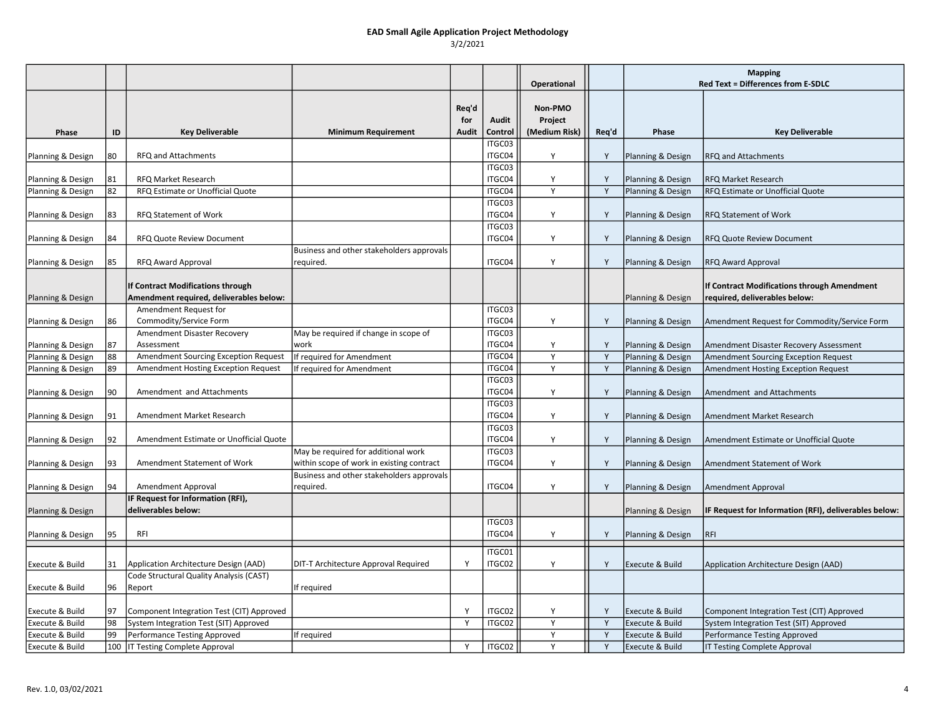|                                        |          |                                                    |                                           |                              |                  | Operational                         |        | <b>Mapping</b><br><b>Red Text = Differences from E-SDLC</b> |                                                                                       |  |
|----------------------------------------|----------|----------------------------------------------------|-------------------------------------------|------------------------------|------------------|-------------------------------------|--------|-------------------------------------------------------------|---------------------------------------------------------------------------------------|--|
| Phase                                  | ID       | <b>Key Deliverable</b>                             | <b>Minimum Requirement</b>                | Reg'd<br>for<br><b>Audit</b> | Audit<br>Control | Non-PMO<br>Project<br>(Medium Risk) | Req'd  | Phase                                                       | <b>Key Deliverable</b>                                                                |  |
|                                        |          |                                                    |                                           |                              | ITGC03           |                                     |        |                                                             |                                                                                       |  |
| Planning & Design                      | 80       | RFQ and Attachments                                |                                           |                              | ITGC04           | Y                                   | Y      | Planning & Design                                           | <b>RFQ and Attachments</b>                                                            |  |
| Planning & Design                      | 81       | <b>RFQ Market Research</b>                         |                                           |                              | ITGC03<br>ITGC04 | Y                                   | Y      | Planning & Design                                           | <b>RFQ Market Research</b>                                                            |  |
| Planning & Design                      | 82       | RFQ Estimate or Unofficial Quote                   |                                           |                              | ITGC04           | Y                                   | Y      | Planning & Design                                           | RFQ Estimate or Unofficial Quote                                                      |  |
|                                        |          |                                                    |                                           |                              | ITGC03           |                                     |        |                                                             |                                                                                       |  |
| Planning & Design                      | 83       | RFQ Statement of Work                              |                                           |                              | ITGC04           | Y                                   | Y      | Planning & Design                                           | RFQ Statement of Work                                                                 |  |
|                                        |          |                                                    |                                           |                              | ITGC03           |                                     |        |                                                             |                                                                                       |  |
| Planning & Design                      | 84       | <b>RFQ Quote Review Document</b>                   |                                           |                              | ITGC04           | Υ                                   | Y      | Planning & Design                                           | RFQ Quote Review Document                                                             |  |
|                                        |          |                                                    | Business and other stakeholders approvals |                              |                  |                                     |        |                                                             |                                                                                       |  |
| Planning & Design                      | 85       | <b>RFQ Award Approval</b>                          | required.                                 |                              | ITGC04           | Y                                   | Y      | Planning & Design                                           | <b>RFQ Award Approval</b>                                                             |  |
|                                        |          | If Contract Modifications through                  |                                           |                              |                  |                                     |        |                                                             | If Contract Modifications through Amendment                                           |  |
| Planning & Design                      |          | Amendment required, deliverables below:            |                                           |                              |                  |                                     |        | Planning & Design                                           | required, deliverables below:                                                         |  |
|                                        |          | Amendment Request for                              |                                           |                              | ITGC03           |                                     |        |                                                             |                                                                                       |  |
| Planning & Design                      | 86       | Commodity/Service Form                             |                                           |                              | ITGC04           | Y                                   | Y      | Planning & Design                                           | Amendment Request for Commodity/Service Form                                          |  |
|                                        |          | Amendment Disaster Recovery                        | May be required if change in scope of     |                              | ITGC03           |                                     |        |                                                             |                                                                                       |  |
| Planning & Design<br>Planning & Design | 87<br>88 | Assessment<br>Amendment Sourcing Exception Request | work<br>If required for Amendment         |                              | ITGC04<br>ITGC04 | Y<br>Y                              | Y<br>Y | Planning & Design<br>Planning & Design                      | Amendment Disaster Recovery Assessment<br><b>Amendment Sourcing Exception Request</b> |  |
| Planning & Design                      | 89       | Amendment Hosting Exception Request                | If required for Amendment                 |                              | ITGC04           | Y                                   | Y      | Planning & Design                                           | Amendment Hosting Exception Request                                                   |  |
|                                        |          |                                                    |                                           |                              | ITGC03           |                                     |        |                                                             |                                                                                       |  |
| Planning & Design                      | 90       | Amendment and Attachments                          |                                           |                              | ITGC04           | Y                                   | Y      | Planning & Design                                           | Amendment and Attachments                                                             |  |
|                                        |          |                                                    |                                           |                              | ITGC03           |                                     |        |                                                             |                                                                                       |  |
| Planning & Design                      | 91       | Amendment Market Research                          |                                           |                              | ITGC04           | Y                                   | Y      | Planning & Design                                           | Amendment Market Research                                                             |  |
|                                        |          |                                                    |                                           |                              | ITGC03           |                                     |        |                                                             |                                                                                       |  |
| Planning & Design                      | 92       | Amendment Estimate or Unofficial Quote             |                                           |                              | ITGC04           | Y                                   | Y      | Planning & Design                                           | Amendment Estimate or Unofficial Quote                                                |  |
|                                        |          |                                                    | May be required for additional work       |                              | ITGC03           |                                     |        |                                                             |                                                                                       |  |
| Planning & Design                      | 93       | Amendment Statement of Work                        | within scope of work in existing contract |                              | ITGC04           | Y                                   | Y      | Planning & Design                                           | Amendment Statement of Work                                                           |  |
|                                        |          |                                                    | Business and other stakeholders approvals |                              |                  |                                     |        |                                                             |                                                                                       |  |
| Planning & Design                      | 94       | Amendment Approval                                 | required.                                 |                              | ITGC04           | Y                                   | Y      | Planning & Design                                           | Amendment Approval                                                                    |  |
|                                        |          | IF Request for Information (RFI),                  |                                           |                              |                  |                                     |        |                                                             |                                                                                       |  |
| Planning & Design                      |          | deliverables below:                                |                                           |                              |                  |                                     |        | Planning & Design                                           | IF Request for Information (RFI), deliverables below:                                 |  |
|                                        |          |                                                    |                                           |                              | ITGC03           |                                     |        |                                                             |                                                                                       |  |
| Planning & Design                      | 95       | RFI                                                |                                           |                              | ITGC04           | Y                                   | Y      | Planning & Design                                           | <b>RFI</b>                                                                            |  |
|                                        |          |                                                    |                                           |                              | ITGC01           |                                     |        |                                                             |                                                                                       |  |
| Execute & Build                        | 31       | Application Architecture Design (AAD)              | DIT-T Architecture Approval Required      | Y                            | ITGC02           | Υ                                   | Y      | Execute & Build                                             | Application Architecture Design (AAD)                                                 |  |
|                                        |          | Code Structural Quality Analysis (CAST)            |                                           |                              |                  |                                     |        |                                                             |                                                                                       |  |
| Execute & Build                        | 96       | Report                                             | If required                               |                              |                  |                                     |        |                                                             |                                                                                       |  |
|                                        |          |                                                    |                                           |                              |                  |                                     |        |                                                             |                                                                                       |  |
| Execute & Build                        | 97       | Component Integration Test (CIT) Approved          |                                           | Y                            | ITGC02           |                                     | Y      | Execute & Build                                             | Component Integration Test (CIT) Approved                                             |  |
| Execute & Build                        | 98       | System Integration Test (SIT) Approved             |                                           | Y                            | ITGC02           |                                     | Y      | Execute & Build                                             | System Integration Test (SIT) Approved                                                |  |
| Execute & Build                        | 99       | Performance Testing Approved                       | If required                               |                              |                  | Y                                   | Y      | Execute & Build                                             | <b>Performance Testing Approved</b>                                                   |  |
| Execute & Build                        | 100      | IT Testing Complete Approval                       |                                           | Y                            | ITGC02           |                                     | Y      | Execute & Build                                             | IT Testing Complete Approval                                                          |  |